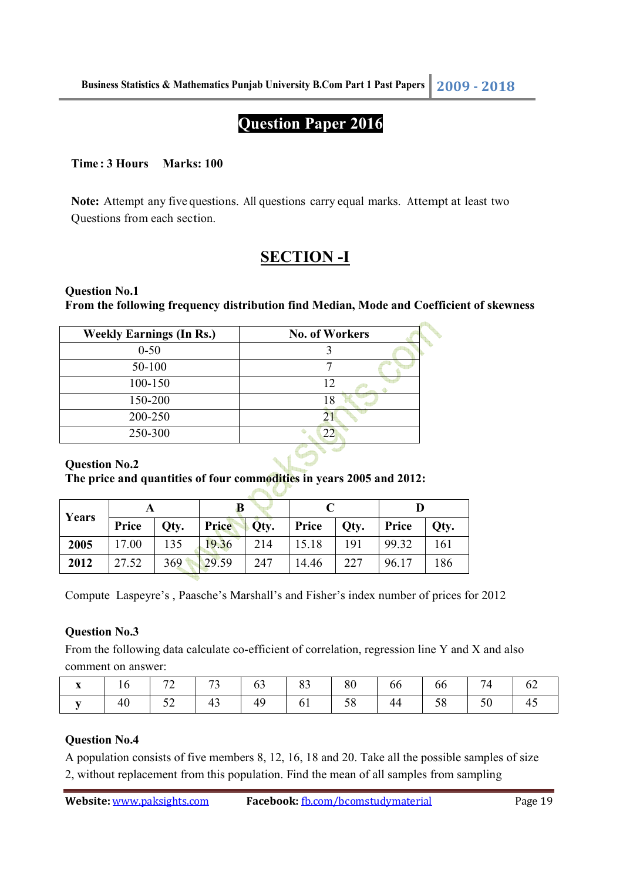# **Question Paper 2016**

### **Time : 3 Hours Marks: 100**

**Note:** Attempt any five questions. All questions carry equal marks. Attempt at least two Questions from each section.

# **SECTION -I**

#### **Question No.1 From the following frequency distribution find Median, Mode and Coefficient of skewness**

 $\ddot{\phantom{0}}$ 

| <b>Weekly Earnings (In Rs.)</b> | <b>No. of Workers</b> |
|---------------------------------|-----------------------|
| $0 - 50$                        |                       |
| 50-100                          |                       |
| 100-150                         | 12                    |
| 150-200                         | 18                    |
| 200-250                         |                       |
| 250-300                         | 22                    |
|                                 |                       |

### **Question No.2**

#### **The price and quantities of four commodities in years 2005 and 2012:**

| Years |       |      |       |      |       |      |       |      |
|-------|-------|------|-------|------|-------|------|-------|------|
|       | Price | Qty. | Price | Oty. | Price | Qty. | Price | Otv. |
| 2005  | 17.00 | 135  | 19.36 | 214  | 15.18 | 191  | 99.32 | 161  |
| 2012  | 27.52 | 369  | 29.59 | 247  | 14.46 | 227  | 96.17 | 186  |

Compute Laspeyre's , Paasche's Marshall's and Fisher's index number of prices for 2012

#### **Question No.3**

From the following data calculate co-efficient of correlation, regression line Y and X and also comment on answer:

| $\mathbf{x}$ | 16 |                                                                       |  |  |  |  |
|--------------|----|-----------------------------------------------------------------------|--|--|--|--|
|              | 40 | $\begin{array}{ c c c c c } \hline 52 & 43 & 49 \ \hline \end{array}$ |  |  |  |  |

## **Question No.4**

A population consists of five members 8, 12, 16, 18 and 20. Take all the possible samples of size 2, without replacement from this population. Find the mean of all samples from sampling